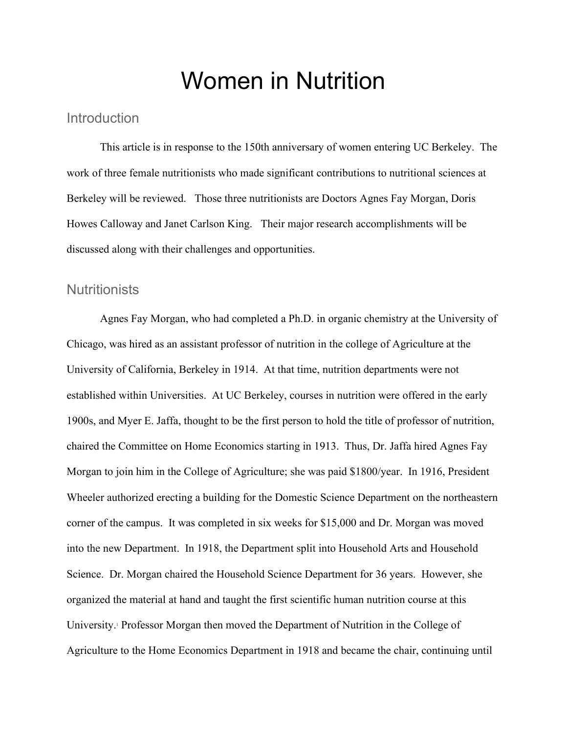# Women in Nutrition

### **Introduction**

This article is in response to the 150th anniversary of women entering UC Berkeley. The work of three female nutritionists who made significant contributions to nutritional sciences at Berkeley will be reviewed. Those three nutritionists are Doctors Agnes Fay Morgan, Doris Howes Calloway and Janet Carlson King. Their major research accomplishments will be discussed along with their challenges and opportunities.

#### **Nutritionists**

Agnes Fay Morgan, who had completed a Ph.D. in organic chemistry at the University of Chicago, was hired as an assistant professor of nutrition in the college of Agriculture at the University of California, Berkeley in 1914. At that time, nutrition departments were not established within Universities. At UC Berkeley, courses in nutrition were offered in the early 1900s, and Myer E. Jaffa, thought to be the first person to hold the title of professor of nutrition, chaired the Committee on Home Economics starting in 1913. Thus, Dr. Jaffa hired Agnes Fay Morgan to join him in the College of Agriculture; she was paid \$1800/year. In 1916, President Wheeler authorized erecting a building for the Domestic Science Department on the northeastern corner of the campus. It was completed in six weeks for \$15,000 and Dr. Morgan was moved into the new Department. In 1918, the Department split into Household Arts and Household Science. Dr. Morgan chaired the Household Science Department for 36 years. However, she organized the material at hand and taught the first scientific human nutrition course at this University.<sup>1</sup> Professor Morgan then moved the Department of Nutrition in the College of Agriculture to the Home Economics Department in 1918 and became the chair, continuing until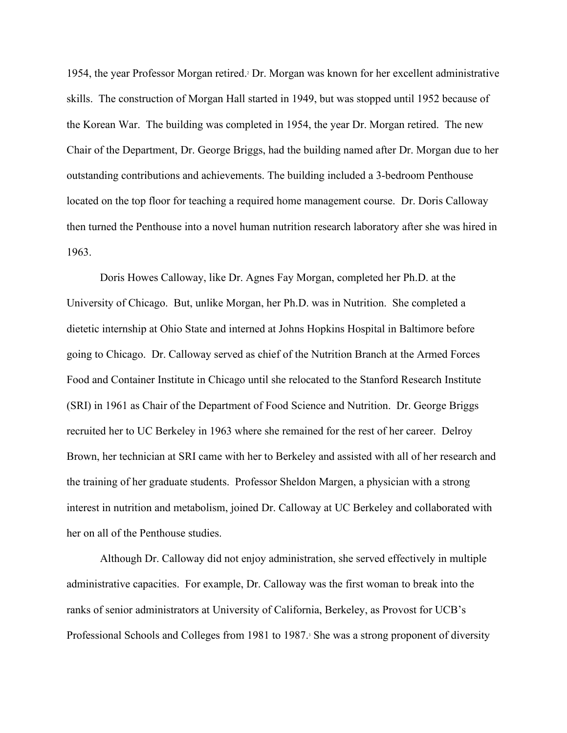1954, the year Professor Morgan retired.2 Dr. Morgan was known for her excellent administrative skills. The construction of Morgan Hall started in 1949, but was stopped until 1952 because of the Korean War. The building was completed in 1954, the year Dr. Morgan retired. The new Chair of the Department, Dr. George Briggs, had the building named after Dr. Morgan due to her outstanding contributions and achievements. The building included a 3-bedroom Penthouse located on the top floor for teaching a required home management course. Dr. Doris Calloway then turned the Penthouse into a novel human nutrition research laboratory after she was hired in 1963.

Doris Howes Calloway, like Dr. Agnes Fay Morgan, completed her Ph.D. at the University of Chicago. But, unlike Morgan, her Ph.D. was in Nutrition. She completed a dietetic internship at Ohio State and interned at Johns Hopkins Hospital in Baltimore before going to Chicago. Dr. Calloway served as chief of the Nutrition Branch at the Armed Forces Food and Container Institute in Chicago until she relocated to the Stanford Research Institute (SRI) in 1961 as Chair of the Department of Food Science and Nutrition. Dr. George Briggs recruited her to UC Berkeley in 1963 where she remained for the rest of her career. Delroy Brown, her technician at SRI came with her to Berkeley and assisted with all of her research and the training of her graduate students. Professor Sheldon Margen, a physician with a strong interest in nutrition and metabolism, joined Dr. Calloway at UC Berkeley and collaborated with her on all of the Penthouse studies.

Although Dr. Calloway did not enjoy administration, she served effectively in multiple administrative capacities. For example, Dr. Calloway was the first woman to break into the ranks of senior administrators at University of California, Berkeley, as Provost for UCB's Professional Schools and Colleges from 1981 to 1987. She was a strong proponent of diversity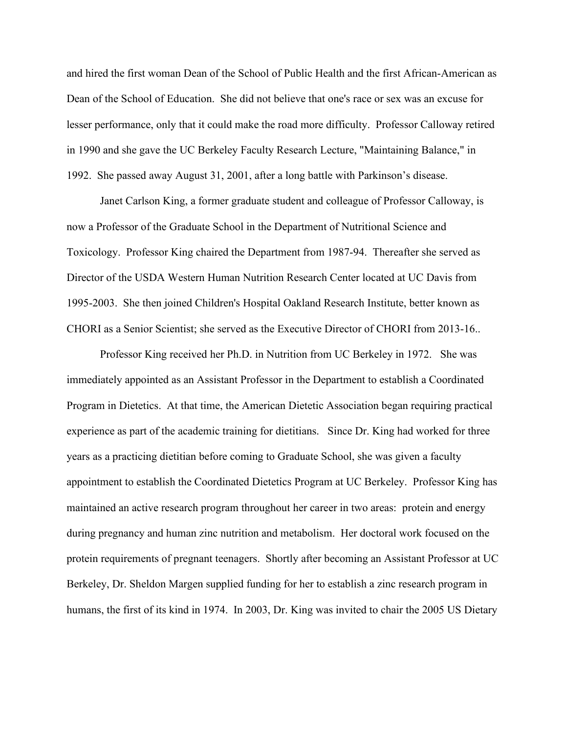and hired the first woman Dean of the School of Public Health and the first African-American as Dean of the School of Education. She did not believe that one's race or sex was an excuse for lesser performance, only that it could make the road more difficulty. Professor Calloway retired in 1990 and she gave the UC Berkeley Faculty Research Lecture, "Maintaining Balance," in 1992. She passed away August 31, 2001, after a long battle with Parkinson's disease.

Janet Carlson King, a former graduate student and colleague of Professor Calloway, is now a Professor of the Graduate School in the Department of Nutritional Science and Toxicology. Professor King chaired the Department from 1987-94. Thereafter she served as Director of the USDA Western Human Nutrition Research Center located at UC Davis from 1995-2003. She then joined Children's Hospital Oakland Research Institute, better known as CHORI as a Senior Scientist; she served as the Executive Director of CHORI from 2013-16..

Professor King received her Ph.D. in Nutrition from UC Berkeley in 1972. She was immediately appointed as an Assistant Professor in the Department to establish a Coordinated Program in Dietetics. At that time, the American Dietetic Association began requiring practical experience as part of the academic training for dietitians. Since Dr. King had worked for three years as a practicing dietitian before coming to Graduate School, she was given a faculty appointment to establish the Coordinated Dietetics Program at UC Berkeley. Professor King has maintained an active research program throughout her career in two areas: protein and energy during pregnancy and human zinc nutrition and metabolism. Her doctoral work focused on the protein requirements of pregnant teenagers. Shortly after becoming an Assistant Professor at UC Berkeley, Dr. Sheldon Margen supplied funding for her to establish a zinc research program in humans, the first of its kind in 1974. In 2003, Dr. King was invited to chair the 2005 US Dietary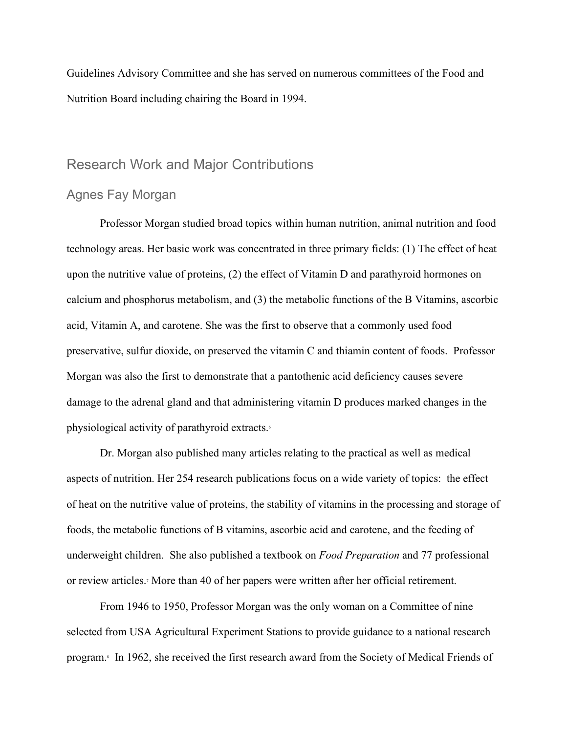Guidelines Advisory Committee and she has served on numerous committees of the Food and Nutrition Board including chairing the Board in 1994.

## Research Work and Major Contributions

### Agnes Fay Morgan

Professor Morgan studied broad topics within human nutrition, animal nutrition and food technology areas. Her basic work was concentrated in three primary fields: (1) The effect of heat upon the nutritive value of proteins, (2) the effect of Vitamin D and parathyroid hormones on calcium and phosphorus metabolism, and (3) the metabolic functions of the B Vitamins, ascorbic acid, Vitamin A, and carotene. She was the first to observe that a commonly used food preservative, sulfur dioxide, on preserved the vitamin C and thiamin content of foods. Professor Morgan was also the first to demonstrate that a pantothenic acid deficiency causes severe damage to the adrenal gland and that administering vitamin D produces marked changes in the physiological activity of parathyroid extracts.6

Dr. Morgan also published many articles relating to the practical as well as medical aspects of nutrition. Her 254 research publications focus on a wide variety of topics: the effect of heat on the nutritive value of proteins, the stability of vitamins in the processing and storage of foods, the metabolic functions of B vitamins, ascorbic acid and carotene, and the feeding of underweight children. She also published a textbook on *Food Preparation* and 77 professional or review articles.7 More than 40 of her papers were written after her official retirement.

From 1946 to 1950, Professor Morgan was the only woman on a Committee of nine selected from USA Agricultural Experiment Stations to provide guidance to a national research program.8 In 1962, she received the first research award from the Society of Medical Friends of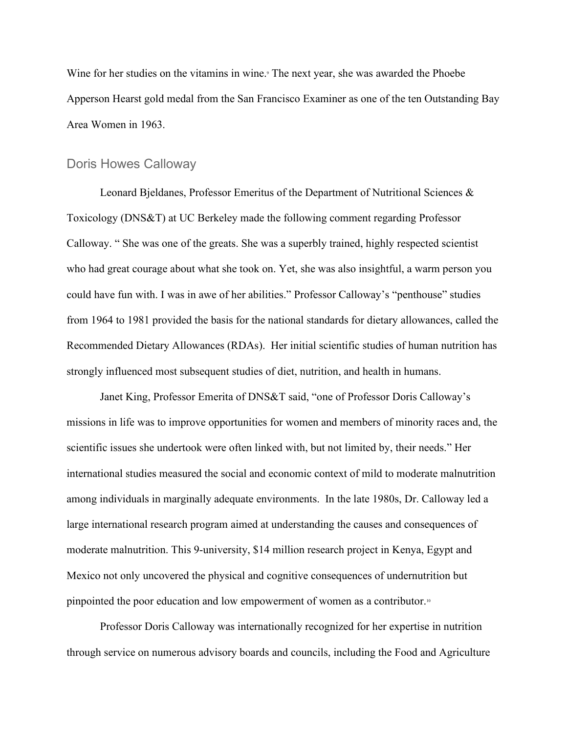Wine for her studies on the vitamins in wine. The next year, she was awarded the Phoebe Apperson Hearst gold medal from the San Francisco Examiner as one of the ten Outstanding Bay Area Women in 1963.

#### Doris Howes Calloway

Leonard Bjeldanes, Professor Emeritus of the Department of Nutritional Sciences & Toxicology (DNS&T) at UC Berkeley made the following comment regarding Professor Calloway. " She was one of the greats. She was a superbly trained, highly respected scientist who had great courage about what she took on. Yet, she was also insightful, a warm person you could have fun with. I was in awe of her abilities." Professor Calloway's "penthouse" studies from 1964 to 1981 provided the basis for the national standards for dietary allowances, called the Recommended Dietary Allowances (RDAs). Her initial scientific studies of human nutrition has strongly influenced most subsequent studies of diet, nutrition, and health in humans.

Janet King, Professor Emerita of DNS&T said, "one of Professor Doris Calloway's missions in life was to improve opportunities for women and members of minority races and, the scientific issues she undertook were often linked with, but not limited by, their needs." Her international studies measured the social and economic context of mild to moderate malnutrition among individuals in marginally adequate environments. In the late 1980s, Dr. Calloway led a large international research program aimed at understanding the causes and consequences of moderate malnutrition. This 9-university, \$14 million research project in Kenya, Egypt and Mexico not only uncovered the physical and cognitive consequences of undernutrition but pinpointed the poor education and low empowerment of women as a contributor.10

Professor Doris Calloway was internationally recognized for her expertise in nutrition through service on numerous advisory boards and councils, including the Food and Agriculture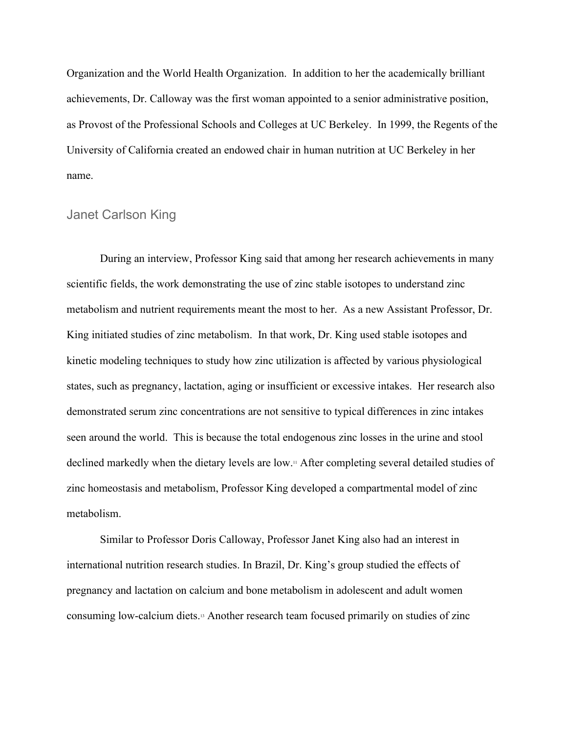Organization and the World Health Organization. In addition to her the academically brilliant achievements, Dr. Calloway was the first woman appointed to a senior administrative position, as Provost of the Professional Schools and Colleges at UC Berkeley. In 1999, the Regents of the University of California created an endowed chair in human nutrition at UC Berkeley in her name.

#### Janet Carlson King

During an interview, Professor King said that among her research achievements in many scientific fields, the work demonstrating the use of zinc stable isotopes to understand zinc metabolism and nutrient requirements meant the most to her. As a new Assistant Professor, Dr. King initiated studies of zinc metabolism. In that work, Dr. King used stable isotopes and kinetic modeling techniques to study how zinc utilization is affected by various physiological states, such as pregnancy, lactation, aging or insufficient or excessive intakes. Her research also demonstrated serum zinc concentrations are not sensitive to typical differences in zinc intakes seen around the world. This is because the total endogenous zinc losses in the urine and stool declined markedly when the dietary levels are low.11 After completing several detailed studies of zinc homeostasis and metabolism, Professor King developed a compartmental model of zinc metabolism.

Similar to Professor Doris Calloway, Professor Janet King also had an interest in international nutrition research studies. In Brazil, Dr. King's group studied the effects of pregnancy and lactation on calcium and bone metabolism in adolescent and adult women consuming low-calcium diets.13 Another research team focused primarily on studies of zinc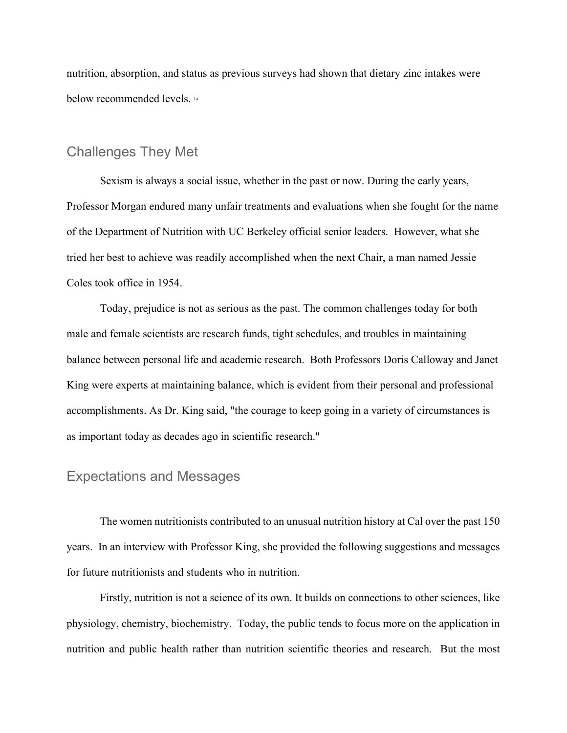nutrition, absorption, and status as previous surveys had shown that dietary zinc intakes were below recommended levels.<sup>14</sup>

# Challenges They Met

Sexism is always a social issue, whether in the past or now. During the early years, Professor Morgan endured many unfair treatments and evaluations when she fought for the name of the Department of Nutrition with UC Berkeley official senior leaders. However, what she tried her best to achieve was readily accomplished when the next Chair, a man named Jessie Coles took office in 1954.

Today, prejudice is not as serious as the past. The common challenges today for both male and female scientists are research funds, tight schedules, and troubles in maintaining balance between personal life and academic research. Both Professors Doris Calloway and Janet King were experts at maintaining balance, which is evident from their personal and professional accomplishments. As Dr. King said, "the courage to keep going in a variety of circumstances is as important today as decades ago in scientific research."

## Expectations and Messages

The women nutritionists contributed to an unusual nutrition history at Cal over the past 150 years. In an interview with Professor King, she provided the following suggestions and messages for future nutritionists and students who in nutrition.

Firstly, nutrition is not a science of its own. It builds on connections to other sciences, like physiology, chemistry, biochemistry. Today, the public tends to focus more on the application in nutrition and public health rather than nutrition scientific theories and research. But the most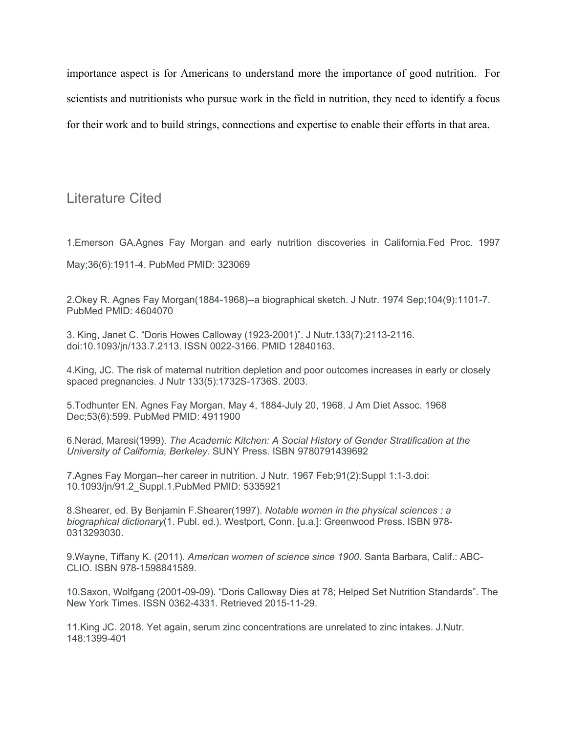importance aspect is for Americans to understand more the importance of good nutrition. For scientists and nutritionists who pursue work in the field in nutrition, they need to identify a focus for their work and to build strings, connections and expertise to enable their efforts in that area.

Literature Cited

1.Emerson GA.Agnes Fay Morgan and early nutrition discoveries in California.Fed Proc. 1997

May;36(6):1911-4. PubMed PMID: 323069

2.Okey R. Agnes Fay Morgan(1884-1968)--a biographical sketch. J Nutr. 1974 Sep;104(9):1101-7. PubMed PMID: 4604070

3. King, Janet C. "Doris Howes Calloway (1923-2001)". J Nutr.133(7):2113-2116. doi:10.1093/jn/133.7.2113. ISSN 0022-3166. PMID 12840163.

4.King, JC. The risk of maternal nutrition depletion and poor outcomes increases in early or closely spaced pregnancies. J Nutr 133(5):1732S-1736S. 2003.

5.Todhunter EN. Agnes Fay Morgan, May 4, 1884-July 20, 1968. J Am Diet Assoc. 1968 Dec;53(6):599. PubMed PMID: 4911900

6.Nerad, Maresi(1999). *The Academic Kitchen: A Social History of Gender Stratification at the University of California, Berkeley.* SUNY Press. ISBN 9780791439692

7.Agnes Fay Morgan--her career in nutrition. J Nutr. 1967 Feb;91(2):Suppl 1:1-3.doi: 10.1093/jn/91.2\_Suppl.1.PubMed PMID: 5335921

8.Shearer, ed. By Benjamin F.Shearer(1997). *Notable women in the physical sciences : a biographical dictionary*(1. Publ. ed.). Westport, Conn. [u.a.]: Greenwood Press. ISBN 978- 0313293030.

9.Wayne, Tiffany K. (2011). *American women of science since 1900*. Santa Barbara, Calif.: ABC-CLIO. ISBN 978-1598841589.

10.Saxon, Wolfgang (2001-09-09). "Doris Calloway Dies at 78; Helped Set Nutrition Standards". The New York Times. ISSN 0362-4331. Retrieved 2015-11-29.

11.King JC. 2018. Yet again, serum zinc concentrations are unrelated to zinc intakes. J.Nutr. 148:1399-401